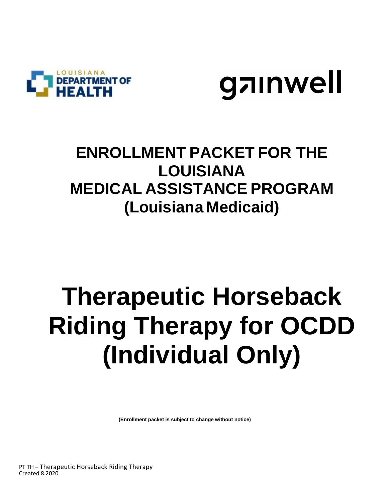



## **ENROLLMENT PACKET FOR THE LOUISIANA MEDICAL ASSISTANCE PROGRAM (Louisiana Medicaid)**

## **Therapeutic Horseback Riding Therapy for OCDD (Individual Only)**

 **(Enrollment packet is subject to change without notice)**

PT TH – Therapeutic Horseback Riding Therapy Created 8.2020